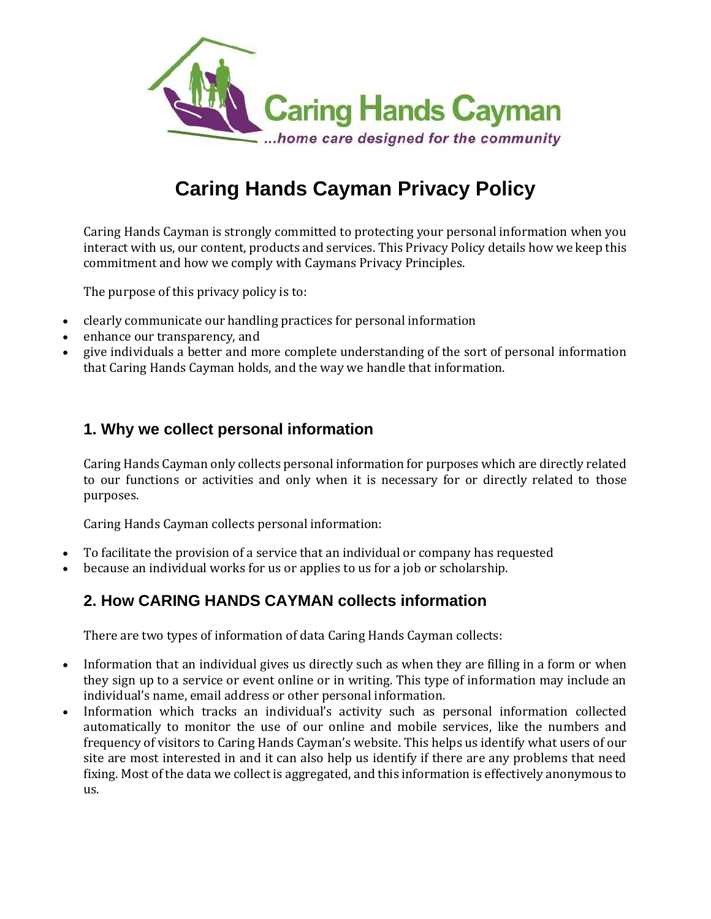

# **Caring Hands Cayman Privacy Policy**

Caring Hands Cayman is strongly committed to protecting your personal information when you interact with us, our content, products and services. This Privacy Policy details how we keep this commitment and how we comply with Caymans Privacy Principles.

The purpose of this privacy policy is to:

- clearly communicate our handling practices for personal information
- enhance our transparency, and
- give individuals a better and more complete understanding of the sort of personal information that Caring Hands Cayman holds, and the way we handle that information.

## **1. Why we collect personal information**

Caring Hands Cayman only collects personal information for purposes which are directly related to our functions or activities and only when it is necessary for or directly related to those purposes.

Caring Hands Cayman collects personal information:

- To facilitate the provision of a service that an individual or company has requested
- because an individual works for us or applies to us for a job or scholarship.

## **2. How CARING HANDS CAYMAN collects information**

There are two types of information of data Caring Hands Cayman collects:

- Information that an individual gives us directly such as when they are filling in a form or when they sign up to a service or event online or in writing. This type of information may include an individual's name, email address or other personal information.
- Information which tracks an individual's activity such as personal information collected automatically to monitor the use of our online and mobile services, like the numbers and frequency of visitors to Caring Hands Cayman's website. This helps us identify what users of our site are most interested in and it can also help us identify if there are any problems that need fixing. Most of the data we collect is aggregated, and this information is effectively anonymous to us.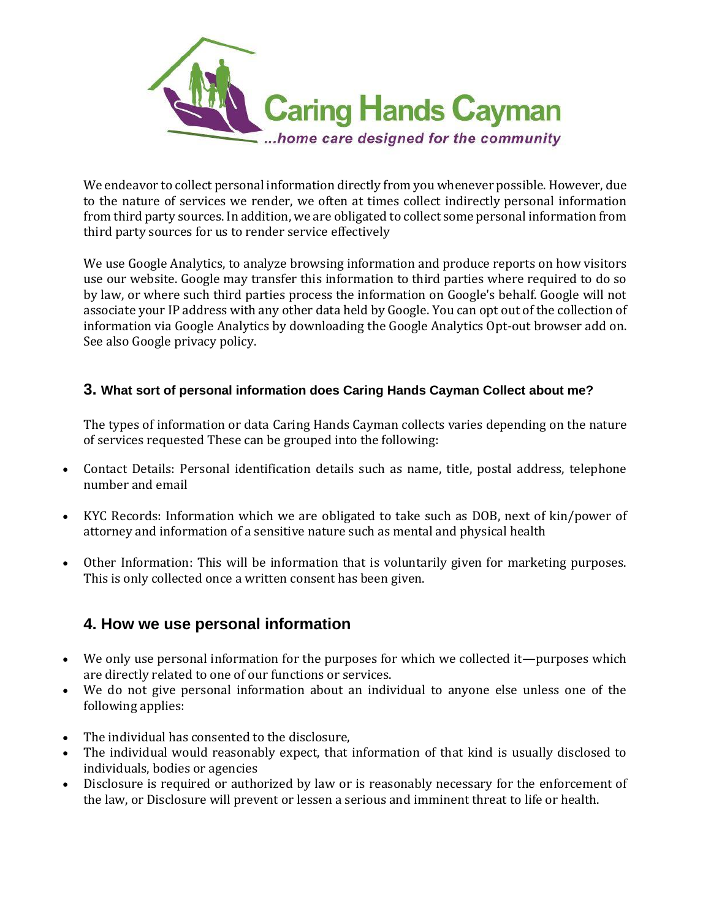

We endeavor to collect personal information directly from you whenever possible. However, due to the nature of services we render, we often at times collect indirectly personal information from third party sources. In addition, we are obligated to collect some personal information from third party sources for us to render service effectively

We use Google Analytics, to analyze browsing information and produce reports on how visitors use our website. Google may transfer this information to third parties where required to do so by law, or where such third parties process the information on Google's behalf. Google will not associate your IP address with any other data held by Google. You can opt out of the collection of information via Google Analytics by downloading the Google Analytics Opt-out browser add on. See also Google privacy policy.

#### **3. What sort of personal information does Caring Hands Cayman Collect about me?**

The types of information or data Caring Hands Cayman collects varies depending on the nature of services requested These can be grouped into the following:

- Contact Details: Personal identification details such as name, title, postal address, telephone number and email
- KYC Records: Information which we are obligated to take such as DOB, next of kin/power of attorney and information of a sensitive nature such as mental and physical health
- Other Information: This will be information that is voluntarily given for marketing purposes. This is only collected once a written consent has been given.

#### **4. How we use personal information**

- We only use personal information for the purposes for which we collected it—purposes which are directly related to one of our functions or services.
- We do not give personal information about an individual to anyone else unless one of the following applies:
- The individual has consented to the disclosure,
- The individual would reasonably expect, that information of that kind is usually disclosed to individuals, bodies or agencies
- Disclosure is required or authorized by law or is reasonably necessary for the enforcement of the law, or Disclosure will prevent or lessen a serious and imminent threat to life or health.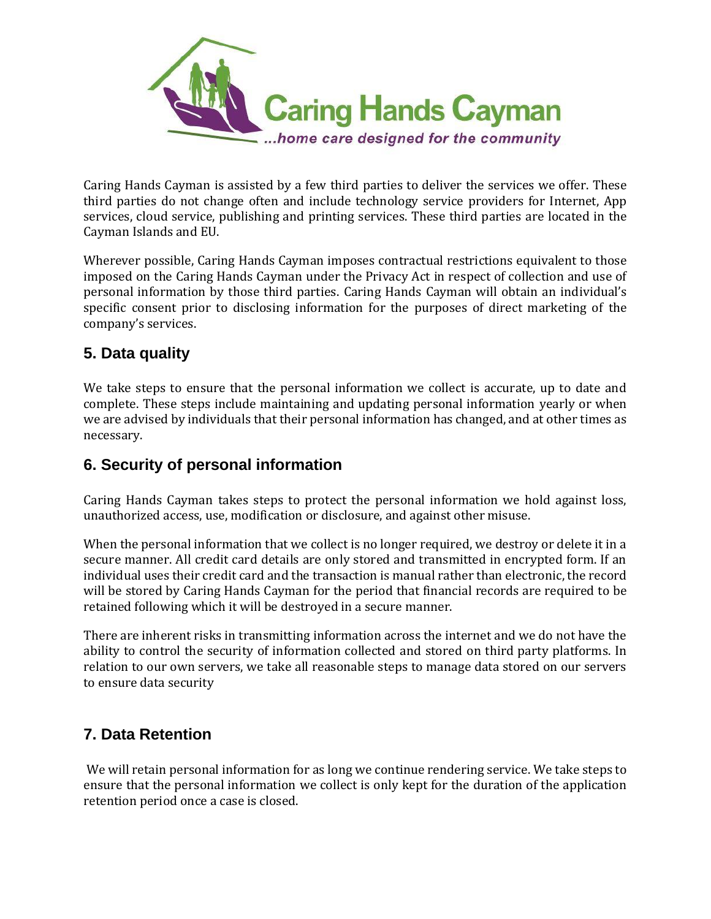

Caring Hands Cayman is assisted by a few third parties to deliver the services we offer. These third parties do not change often and include technology service providers for Internet, App services, cloud service, publishing and printing services. These third parties are located in the Cayman Islands and EU.

Wherever possible, Caring Hands Cayman imposes contractual restrictions equivalent to those imposed on the Caring Hands Cayman under the Privacy Act in respect of collection and use of personal information by those third parties. Caring Hands Cayman will obtain an individual's specific consent prior to disclosing information for the purposes of direct marketing of the company's services.

## **5. Data quality**

We take steps to ensure that the personal information we collect is accurate, up to date and complete. These steps include maintaining and updating personal information yearly or when we are advised by individuals that their personal information has changed, and at other times as necessary.

## **6. Security of personal information**

Caring Hands Cayman takes steps to protect the personal information we hold against loss, unauthorized access, use, modification or disclosure, and against other misuse.

When the personal information that we collect is no longer required, we destroy or delete it in a secure manner. All credit card details are only stored and transmitted in encrypted form. If an individual uses their credit card and the transaction is manual rather than electronic, the record will be stored by Caring Hands Cayman for the period that financial records are required to be retained following which it will be destroyed in a secure manner.

There are inherent risks in transmitting information across the internet and we do not have the ability to control the security of information collected and stored on third party platforms. In relation to our own servers, we take all reasonable steps to manage data stored on our servers to ensure data security

## **7. Data Retention**

We will retain personal information for as long we continue rendering service. We take steps to ensure that the personal information we collect is only kept for the duration of the application retention period once a case is closed.